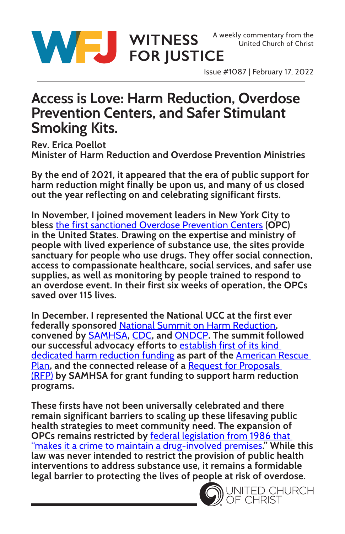

WITNESS A weekly commentary from the United Church of Christ<br>
FOR JUSTICE

Issue #1087 | February 17, 2022

## **Access is Love: Harm Reduction, Overdose Prevention Centers, and Safer Stimulant Smoking Kits.**

**Rev. Erica Poellot Minister of Harm Reduction and Overdose Prevention Ministries**

**By the end of 2021, it appeared that the era of public support for harm reduction might finally be upon us, and many of us closed out the year reflecting on and celebrating significant firsts.**

**In November, I joined movement leaders in New York City to bless** [the first sanctioned Overdose Prevention Centers](https://www.theguardian.com/us-news/2022/jan/25/overdose-prevention-centers-new-york-saving-lives) **(OPC) in the United States. Drawing on the expertise and ministry of people with lived experience of substance use, the sites provide sanctuary for people who use drugs. They offer social connection, access to compassionate healthcare, social services, and safer use supplies, as well as monitoring by people trained to respond to an overdose event. In their first six weeks of operation, the OPCs saved over 115 lives.**

**In December, I represented the National UCC at the first ever federally sponsored** [National Summit on Harm Reduction](https://www.whitehouse.gov/ondcp/briefing-room/2021/12/16/readout-white-house-hhs-host-national-harm-reduction-summit/)**, convened by** [SAMHSA](https://www.samhsa.gov/)**,** [CDC](https://www.cdc.gov/)**, and** [ONDCP](https://www.whitehouse.gov/ondcp/)**. The summit followed our successful advocacy efforts to** [establish first of its kind](https://www.nchrf.com/news/congress-responds-to-nchrfs-request-with-first-ever-federal-funding-solely-dedicated-to-harm-reduction)  [dedicated harm reduction funding](https://www.nchrf.com/news/congress-responds-to-nchrfs-request-with-first-ever-federal-funding-solely-dedicated-to-harm-reduction) **as part of the** [American Rescue](https://www.samhsa.gov/newsroom/press-announcements/202112081000)  [Plan](https://www.samhsa.gov/newsroom/press-announcements/202112081000)**, and the connected release of a** [Request for Proposals](https://www.samhsa.gov/grants/grant-announcements/sp-22-001)  [\(RFP\)](https://www.samhsa.gov/grants/grant-announcements/sp-22-001) **by SAMHSA for grant funding to support harm reduction programs.**

**These firsts have not been universally celebrated and there remain significant barriers to scaling up these lifesaving public health strategies to meet community need. The expansion of OPCs remains restricted by** [federal legislation from 1986 that](https://lawdigitalcommons.bc.edu/bclr/vol60/iss2/2/)  ["makes it a crime to maintain a drug-involved premises](https://lawdigitalcommons.bc.edu/bclr/vol60/iss2/2/)**." While this law was never intended to restrict the provision of public health interventions to address substance use, it remains a formidable legal barrier to protecting the lives of people at risk of overdose.** 

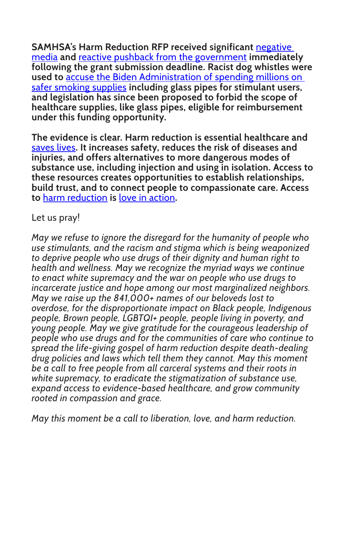**SAMHSA's Harm Reduction RFP received significant** [negative](https://www.washingtonpost.com/politics/2022/02/11/viral-article-that-unleashed-crack-pipe-firestorm-relied-assumptions/)  [media](https://www.washingtonpost.com/politics/2022/02/11/viral-article-that-unleashed-crack-pipe-firestorm-relied-assumptions/) **and** [reactive pushback from the government](https://www.hhs.gov/about/news/2022/02/09/statement-hhs-secretary-xavier-becerra-and-ondcp-director-rahul-gupta.html?utm_source=SAMHSA&utm_campaign=0a80dbc0e1-SAMHSA_Announcement_2022_02_09_1600717&utm_medium=email&utm_term=0_ee1c4b138c-0a80dbc0e1-168210057) **immediately following the grant submission deadline. Racist dog whistles were used to** [accuse the Biden Administration of spending millions on](https://www.washingtonpost.com/opinions/2022/02/17/crack-pipe-outcry-overdose-crisis-harm-reduction-policy/)  [safer smoking supplies](https://www.washingtonpost.com/opinions/2022/02/17/crack-pipe-outcry-overdose-crisis-harm-reduction-policy/) **including glass pipes for stimulant users, and legislation has since been proposed to forbid the scope of healthcare supplies, like glass pipes, eligible for reimbursement under this funding opportunity.**

**The evidence is clear. Harm reduction is essential healthcare and**  [saves lives](https://www.vitalstrategies.org/spotlight-harm-reduction-saves-lives/)**. It increases safety, reduces the risk of diseases and injuries, and offers alternatives to more dangerous modes of substance use, including injection and using in isolation. Access to these resources creates opportunities to establish relationships, build trust, and to connect people to compassionate care. Access to** [harm reduction](https://harmreduction.org/) **is** [love in action](https://faithinharmreduction.org/)**.**

## Let us pray!

*May we refuse to ignore the disregard for the humanity of people who use stimulants, and the racism and stigma which is being weaponized to deprive people who use drugs of their dignity and human right to health and wellness. May we recognize the myriad ways we continue to enact white supremacy and the war on people who use drugs to incarcerate justice and hope among our most marginalized neighbors. May we raise up the 841,000+ names of our beloveds lost to overdose, for the disproportionate impact on Black people, Indigenous people, Brown people, LGBTQI+ people, people living in poverty, and young people. May we give gratitude for the courageous leadership of people who use drugs and for the communities of care who continue to spread the life-giving gospel of harm reduction despite death-dealing drug policies and laws which tell them they cannot. May this moment be a call to free people from all carceral systems and their roots in white supremacy, to eradicate the stigmatization of substance use, expand access to evidence-based healthcare, and grow community rooted in compassion and grace.* 

*May this moment be a call to liberation, love, and harm reduction.*